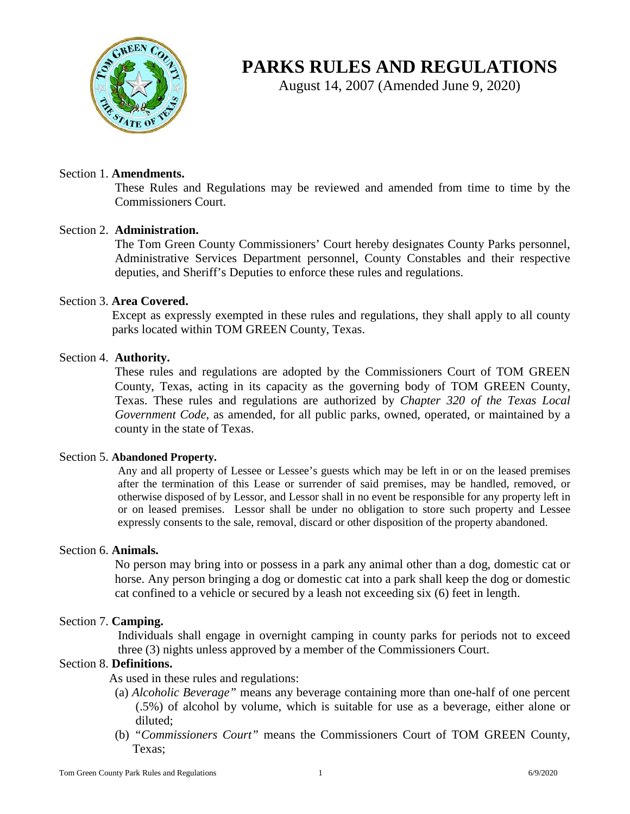

# **PARKS RULES AND REGULATIONS**

August 14, 2007 (Amended June 9, 2020)

# Section 1. **Amendments.**

These Rules and Regulations may be reviewed and amended from time to time by the Commissioners Court.

# Section 2. **Administration.**

The Tom Green County Commissioners' Court hereby designates County Parks personnel, Administrative Services Department personnel, County Constables and their respective deputies, and Sheriff's Deputies to enforce these rules and regulations.

# Section 3. **Area Covered.**

Except as expressly exempted in these rules and regulations, they shall apply to all county parks located within TOM GREEN County, Texas.

# Section 4. **Authority.**

These rules and regulations are adopted by the Commissioners Court of TOM GREEN County, Texas, acting in its capacity as the governing body of TOM GREEN County, Texas. These rules and regulations are authorized by *Chapter 320 of the Texas Local Government Code*, as amended, for all public parks, owned, operated, or maintained by a county in the state of Texas.

## Section 5. **Abandoned Property.**

Any and all property of Lessee or Lessee's guests which may be left in or on the leased premises after the termination of this Lease or surrender of said premises, may be handled, removed, or otherwise disposed of by Lessor, and Lessor shall in no event be responsible for any property left in or on leased premises. Lessor shall be under no obligation to store such property and Lessee expressly consents to the sale, removal, discard or other disposition of the property abandoned.

# Section 6. **Animals.**

No person may bring into or possess in a park any animal other than a dog, domestic cat or horse. Any person bringing a dog or domestic cat into a park shall keep the dog or domestic cat confined to a vehicle or secured by a leash not exceeding six (6) feet in length.

## Section 7. **Camping.**

Individuals shall engage in overnight camping in county parks for periods not to exceed three (3) nights unless approved by a member of the Commissioners Court.

# Section 8. **Definitions.**

As used in these rules and regulations:

- (a) *Alcoholic Beverage"* means any beverage containing more than one-half of one percent (.5%) of alcohol by volume, which is suitable for use as a beverage, either alone or diluted;
- (b) *"Commissioners Court"* means the Commissioners Court of TOM GREEN County, Texas;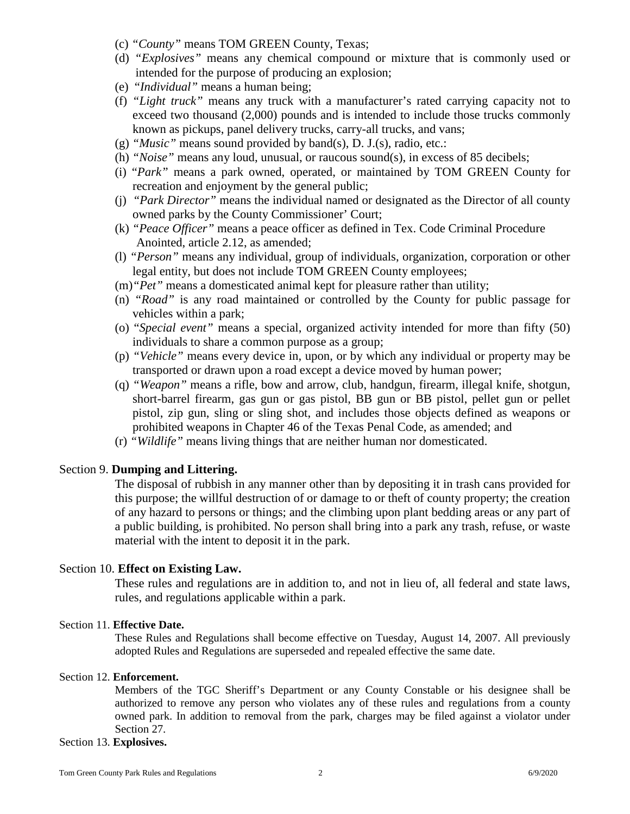- (c) *"County"* means TOM GREEN County, Texas;
- (d) *"Explosives"* means any chemical compound or mixture that is commonly used or intended for the purpose of producing an explosion;
- (e) "*Individual"* means a human being;
- (f) *"Light truck"* means any truck with a manufacturer's rated carrying capacity not to exceed two thousand (2,000) pounds and is intended to include those trucks commonly known as pickups, panel delivery trucks, carry-all trucks, and vans;
- (g) *"Music"* means sound provided by band(s), D. J.(s), radio, etc.:
- (h) *"Noise"* means any loud, unusual, or raucous sound(s), in excess of 85 decibels;
- (i) "*Park"* means a park owned, operated, or maintained by TOM GREEN County for recreation and enjoyment by the general public;
- (j) *"Park Director"* means the individual named or designated as the Director of all county owned parks by the County Commissioner' Court;
- (k) *"Peace Officer"* means a peace officer as defined in Tex. Code Criminal Procedure Anointed, article 2.12, as amended;
- (l) *"Person"* means any individual, group of individuals, organization, corporation or other legal entity, but does not include TOM GREEN County employees;
- (m)*"Pet"* means a domesticated animal kept for pleasure rather than utility;
- (n) *"Road"* is any road maintained or controlled by the County for public passage for vehicles within a park;
- (o) "*Special event"* means a special, organized activity intended for more than fifty (50) individuals to share a common purpose as a group;
- (p) *"Vehicle"* means every device in, upon, or by which any individual or property may be transported or drawn upon a road except a device moved by human power;
- (q) *"Weapon"* means a rifle, bow and arrow, club, handgun, firearm, illegal knife, shotgun, short-barrel firearm, gas gun or gas pistol, BB gun or BB pistol, pellet gun or pellet pistol, zip gun, sling or sling shot, and includes those objects defined as weapons or prohibited weapons in Chapter 46 of the Texas Penal Code, as amended; and
- (r) *"Wildlife"* means living things that are neither human nor domesticated.

# Section 9. **Dumping and Littering.**

The disposal of rubbish in any manner other than by depositing it in trash cans provided for this purpose; the willful destruction of or damage to or theft of county property; the creation of any hazard to persons or things; and the climbing upon plant bedding areas or any part of a public building, is prohibited. No person shall bring into a park any trash, refuse, or waste material with the intent to deposit it in the park.

## Section 10. **Effect on Existing Law.**

These rules and regulations are in addition to, and not in lieu of, all federal and state laws, rules, and regulations applicable within a park.

## Section 11. **Effective Date.**

These Rules and Regulations shall become effective on Tuesday, August 14, 2007. All previously adopted Rules and Regulations are superseded and repealed effective the same date.

#### Section 12. **Enforcement.**

Members of the TGC Sheriff's Department or any County Constable or his designee shall be authorized to remove any person who violates any of these rules and regulations from a county owned park. In addition to removal from the park, charges may be filed against a violator under Section 27.

#### Section 13. **Explosives.**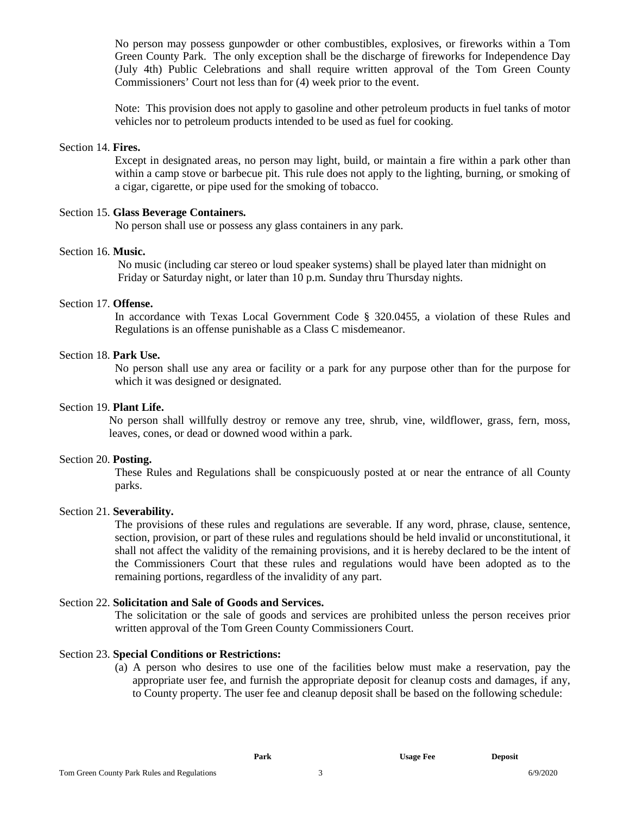No person may possess gunpowder or other combustibles, explosives, or fireworks within a Tom Green County Park. The only exception shall be the discharge of fireworks for Independence Day (July 4th) Public Celebrations and shall require written approval of the Tom Green County Commissioners' Court not less than for (4) week prior to the event.

Note: This provision does not apply to gasoline and other petroleum products in fuel tanks of motor vehicles nor to petroleum products intended to be used as fuel for cooking.

## Section 14. **Fires.**

Except in designated areas, no person may light, build, or maintain a fire within a park other than within a camp stove or barbecue pit. This rule does not apply to the lighting, burning, or smoking of a cigar, cigarette, or pipe used for the smoking of tobacco.

## Section 15. **Glass Beverage Containers.**

No person shall use or possess any glass containers in any park.

## Section 16. **Music.**

No music (including car stereo or loud speaker systems) shall be played later than midnight on Friday or Saturday night, or later than 10 p.m. Sunday thru Thursday nights.

#### Section 17. **Offense.**

In accordance with Texas Local Government Code § 320.0455, a violation of these Rules and Regulations is an offense punishable as a Class C misdemeanor.

## Section 18. **Park Use.**

No person shall use any area or facility or a park for any purpose other than for the purpose for which it was designed or designated.

#### Section 19. **Plant Life.**

No person shall willfully destroy or remove any tree, shrub, vine, wildflower, grass, fern, moss, leaves, cones, or dead or downed wood within a park.

#### Section 20. **Posting.**

These Rules and Regulations shall be conspicuously posted at or near the entrance of all County parks.

## Section 21. **Severability.**

The provisions of these rules and regulations are severable. If any word, phrase, clause, sentence, section, provision, or part of these rules and regulations should be held invalid or unconstitutional, it shall not affect the validity of the remaining provisions, and it is hereby declared to be the intent of the Commissioners Court that these rules and regulations would have been adopted as to the remaining portions, regardless of the invalidity of any part.

#### Section 22. **Solicitation and Sale of Goods and Services.**

The solicitation or the sale of goods and services are prohibited unless the person receives prior written approval of the Tom Green County Commissioners Court.

# Section 23. **Special Conditions or Restrictions:**

(a) A person who desires to use one of the facilities below must make a reservation, pay the appropriate user fee, and furnish the appropriate deposit for cleanup costs and damages, if any, to County property. The user fee and cleanup deposit shall be based on the following schedule: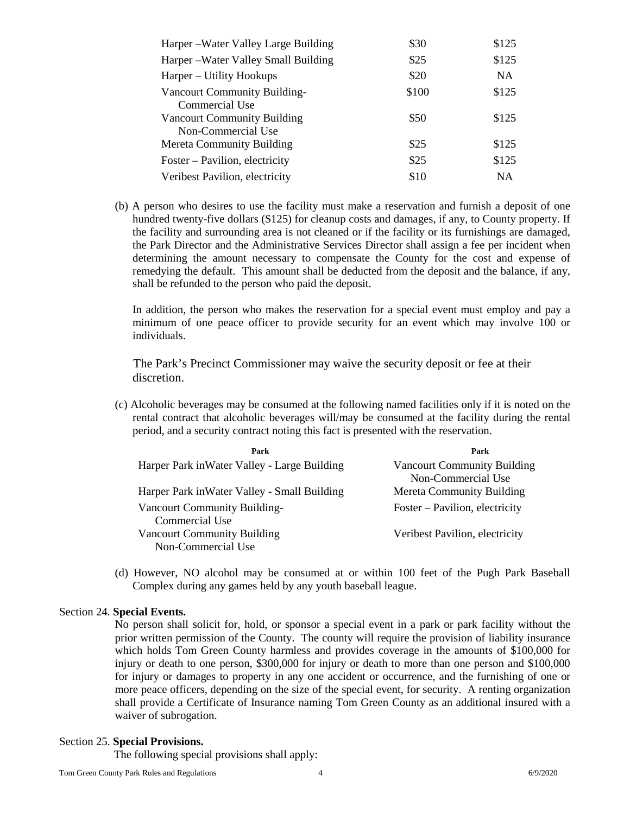| Harper – Water Valley Large Building | \$30  | \$125     |
|--------------------------------------|-------|-----------|
| Harper – Water Valley Small Building | \$25  | \$125     |
| Harper – Utility Hookups             | \$20  | NA.       |
| <b>Vancourt Community Building-</b>  | \$100 | \$125     |
| Commercial Use                       |       |           |
| <b>Vancourt Community Building</b>   | \$50  | \$125     |
| Non-Commercial Use                   |       |           |
| Mereta Community Building            | \$25  | \$125     |
| Foster – Pavilion, electricity       | \$25  | \$125     |
| Veribest Pavilion, electricity       | \$10  | <b>NA</b> |

(b) A person who desires to use the facility must make a reservation and furnish a deposit of one hundred twenty-five dollars (\$125) for cleanup costs and damages, if any, to County property. If the facility and surrounding area is not cleaned or if the facility or its furnishings are damaged, the Park Director and the Administrative Services Director shall assign a fee per incident when determining the amount necessary to compensate the County for the cost and expense of remedying the default. This amount shall be deducted from the deposit and the balance, if any, shall be refunded to the person who paid the deposit.

In addition, the person who makes the reservation for a special event must employ and pay a minimum of one peace officer to provide security for an event which may involve 100 or individuals.

The Park's Precinct Commissioner may waive the security deposit or fee at their discretion.

(c) Alcoholic beverages may be consumed at the following named facilities only if it is noted on the rental contract that alcoholic beverages will/may be consumed at the facility during the rental period, and a security contract noting this fact is presented with the reservation.

| Park                                         | Park                               |
|----------------------------------------------|------------------------------------|
| Harper Park in Water Valley - Large Building | <b>Vancourt Community Building</b> |
|                                              | Non-Commercial Use                 |
| Harper Park in Water Valley - Small Building | <b>Mereta Community Building</b>   |
| Vancourt Community Building-                 | Foster – Pavilion, electricity     |
| Commercial Use                               |                                    |
| <b>Vancourt Community Building</b>           | Veribest Pavilion, electricity     |
| Non-Commercial Use                           |                                    |

(d) However, NO alcohol may be consumed at or within 100 feet of the Pugh Park Baseball Complex during any games held by any youth baseball league.

#### Section 24. **Special Events.**

No person shall solicit for, hold, or sponsor a special event in a park or park facility without the prior written permission of the County. The county will require the provision of liability insurance which holds Tom Green County harmless and provides coverage in the amounts of \$100,000 for injury or death to one person, \$300,000 for injury or death to more than one person and \$100,000 for injury or damages to property in any one accident or occurrence, and the furnishing of one or more peace officers, depending on the size of the special event, for security. A renting organization shall provide a Certificate of Insurance naming Tom Green County as an additional insured with a waiver of subrogation.

#### Section 25. **Special Provisions.**

The following special provisions shall apply: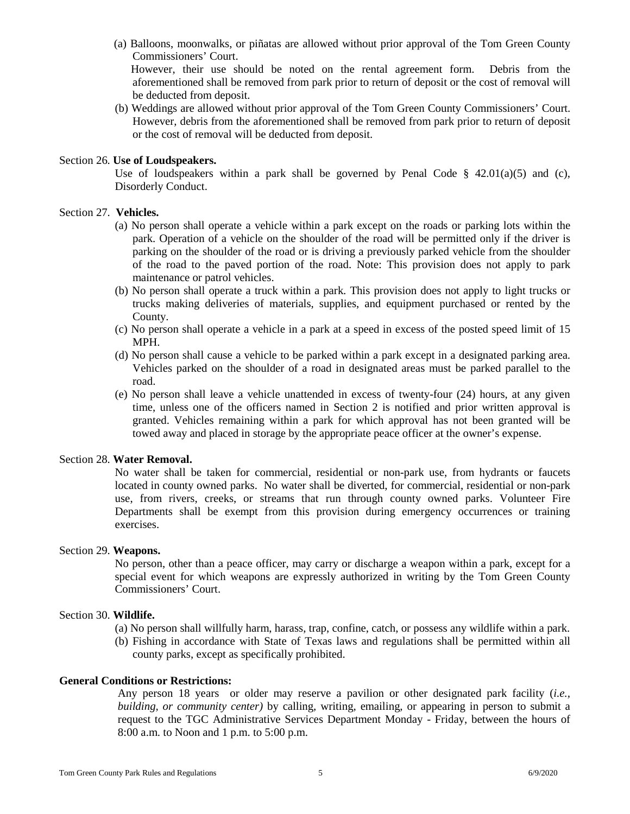(a) Balloons, moonwalks, or piñatas are allowed without prior approval of the Tom Green County Commissioners' Court.

 However, their use should be noted on the rental agreement form. Debris from the aforementioned shall be removed from park prior to return of deposit or the cost of removal will be deducted from deposit.

(b) Weddings are allowed without prior approval of the Tom Green County Commissioners' Court. However, debris from the aforementioned shall be removed from park prior to return of deposit or the cost of removal will be deducted from deposit.

#### Section 26. **Use of Loudspeakers.**

Use of loudspeakers within a park shall be governed by Penal Code  $\S$  42.01(a)(5) and (c), Disorderly Conduct.

## Section 27. **Vehicles.**

- (a) No person shall operate a vehicle within a park except on the roads or parking lots within the park. Operation of a vehicle on the shoulder of the road will be permitted only if the driver is parking on the shoulder of the road or is driving a previously parked vehicle from the shoulder of the road to the paved portion of the road. Note: This provision does not apply to park maintenance or patrol vehicles.
- (b) No person shall operate a truck within a park. This provision does not apply to light trucks or trucks making deliveries of materials, supplies, and equipment purchased or rented by the County.
- (c) No person shall operate a vehicle in a park at a speed in excess of the posted speed limit of 15 MPH.
- (d) No person shall cause a vehicle to be parked within a park except in a designated parking area. Vehicles parked on the shoulder of a road in designated areas must be parked parallel to the road.
- (e) No person shall leave a vehicle unattended in excess of twenty-four (24) hours, at any given time, unless one of the officers named in Section 2 is notified and prior written approval is granted. Vehicles remaining within a park for which approval has not been granted will be towed away and placed in storage by the appropriate peace officer at the owner's expense.

#### Section 28. **Water Removal.**

No water shall be taken for commercial, residential or non-park use, from hydrants or faucets located in county owned parks. No water shall be diverted, for commercial, residential or non-park use, from rivers, creeks, or streams that run through county owned parks. Volunteer Fire Departments shall be exempt from this provision during emergency occurrences or training exercises.

#### Section 29. **Weapons.**

No person, other than a peace officer, may carry or discharge a weapon within a park, except for a special event for which weapons are expressly authorized in writing by the Tom Green County Commissioners' Court.

#### Section 30. **Wildlife.**

- (a) No person shall willfully harm, harass, trap, confine, catch, or possess any wildlife within a park.
- (b) Fishing in accordance with State of Texas laws and regulations shall be permitted within all county parks, except as specifically prohibited.

#### **General Conditions or Restrictions:**

Any person 18 years or older may reserve a pavilion or other designated park facility (*i.e., building, or community center)* by calling, writing, emailing, or appearing in person to submit a request to the TGC Administrative Services Department Monday - Friday, between the hours of 8:00 a.m. to Noon and 1 p.m. to 5:00 p.m.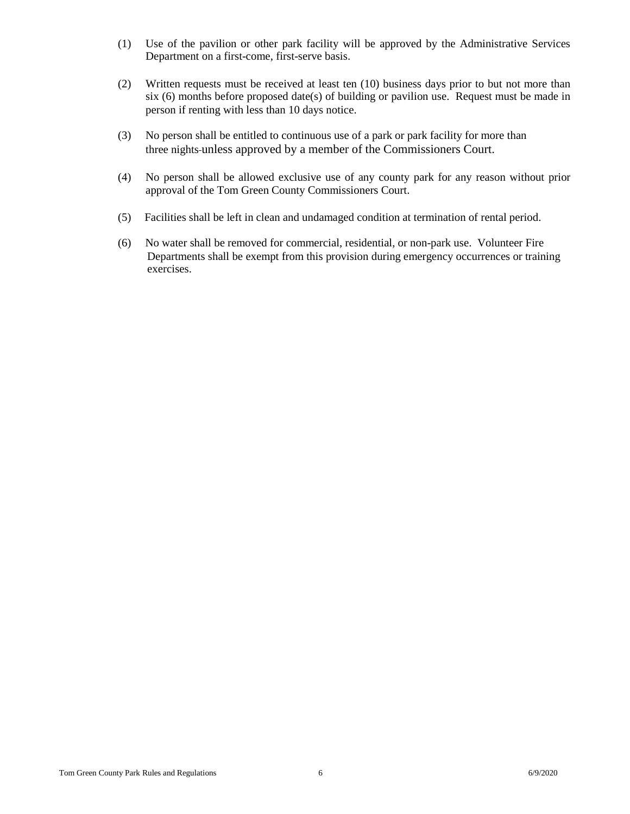- (1) Use of the pavilion or other park facility will be approved by the Administrative Services Department on a first-come, first-serve basis.
- (2) Written requests must be received at least ten (10) business days prior to but not more than six (6) months before proposed date(s) of building or pavilion use. Request must be made in person if renting with less than 10 days notice.
- (3) No person shall be entitled to continuous use of a park or park facility for more than three nights unless approved by a member of the Commissioners Court.
- (4) No person shall be allowed exclusive use of any county park for any reason without prior approval of the Tom Green County Commissioners Court.
- (5) Facilities shall be left in clean and undamaged condition at termination of rental period.
- (6) No water shall be removed for commercial, residential, or non-park use. Volunteer Fire Departments shall be exempt from this provision during emergency occurrences or training exercises.